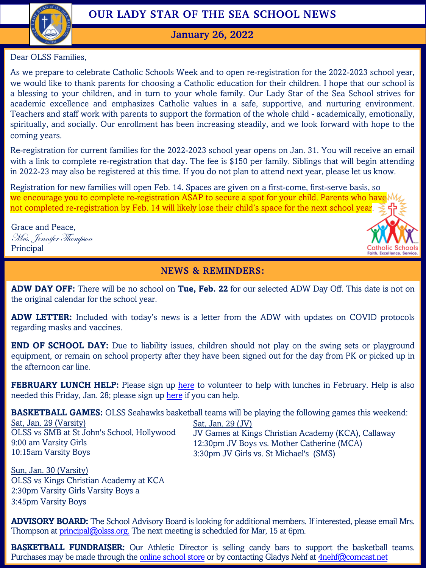

# **OUR LADY STAR OF THE SEA SCHOOL NEWS**

**January 26, 2022**

Dear OLSS Families,

As we prepare to celebrate Catholic Schools Week and to open re-registration for the 2022-2023 school year, we would like to thank parents for choosing a Catholic education for their children. I hope that our school is a blessing to your children, and in turn to your whole family. Our Lady Star of the Sea School strives for academic excellence and emphasizes Catholic values in a safe, supportive, and nurturing environment. Teachers and staff work with parents to support the formation of the whole child - academically, emotionally, spiritually, and socially. Our enrollment has been increasing steadily, and we look forward with hope to the coming years.

Re-registration for current families for the 2022-2023 school year opens on Jan. 31. You will receive an email with a link to complete re-registration that day. The fee is \$150 per family. Siblings that will begin attending in 2022-23 may also be registered at this time. If you do not plan to attend next year, please let us know.

Registration for new families will open Feb. 14. Spaces are given on a first-come, first-serve basis, so we encourage you to complete re-registration ASAP to secure a spot for your child. Parents who have not completed re-registration by Feb. 14 will likely lose their child's space for the next school year.

Grace and Peace, Mrs. Jennifer Thompson Principal



#### **NEWS & REMINDERS:**

**ADW DAY OFF:** There will be no school on **Tue, Feb. 22** for our selected ADW Day Off. This date is not on the original calendar for the school year.

**ADW LETTER:** Included with today's news is a letter from the ADW with updates on COVID protocols regarding masks and vaccines.

**END OF SCHOOL DAY:** Due to liability [issu](https://www.signupgenius.com/go/20f0f4ca4ac2ba4f94-olss23)es, children should not play on the swing sets or playground equipment, or remain on school property after they have been signed out for the day from PK or picked up in the afternoon car line.

**FEBRUARY LUNCH HELP:** Please sign up here to volunteer to help with lunches in February. Help is also needed this Friday, Jan. 28; please sign up here if you can help.

**BASKETBALL GAMES:** OLSS Seahawks basketball teams will be playing the following games this weekend:

Sat, Jan. 29 (Varsity) OLSS vs SMB at St John's School, Hollywood 9:00 am Varsity Girls 10:15am Varsity Boys

Sat, Jan. 29 (JV) JV Games at Kings Christian Academy (KCA), Callaway 12:30pm JV Boys vs. Mother Catherine (MCA) 3:30pm JV Girls vs. St Michael's (SMS)

Sun, Jan. 30 [\(Varsity\)](mailto:principal@olsss.org) OLSS vs Kings Christian Academy at KCA 2:30pm Varsity Girls Varsity Boys a 3:45pm Varsity Boys

**ADVISORY BOARD:** The School Advisory Board is looking for additional members. If interested, please email Mrs. Thompson at principal@olsss.org. The next meeting is scheduled for Mar, 15 at 6pm.

**BASKETBALL FUNDRAISER:** Our Athletic Director is selling candy bars to support the basketball teams. Purchases may be made through the online school store or by contacting Gladys Nehf at 4nehf@comcast.net